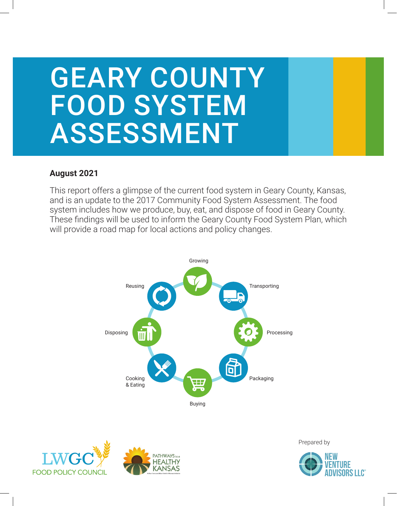# GEARY COUNTY FOOD SYSTEM ASSESSMENT

### **August 2021**

This report offers a glimpse of the current food system in Geary County, Kansas, and is an update to the 2017 Community Food System Assessment. The food system includes how we produce, buy, eat, and dispose of food in Geary County. These findings will be used to inform the Geary County Food System Plan, which will provide a road map for local actions and policy changes.







Prepared by

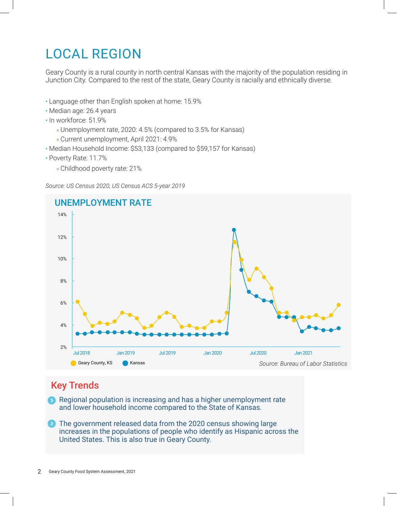# LOCAL REGION

Geary County is a rural county in north central Kansas with the majority of the population residing in Junction City. Compared to the rest of the state, Geary County is racially and ethnically diverse.

- Language other than English spoken at home: 15.9%
- Median age: 26.4 years
- In workforce: 51.9%
	- » Unemployment rate, 2020: 4.5% (compared to 3.5% for Kansas)
	- » Current unemployment, April 2021: 4.9%
- Median Household Income: \$53,133 (compared to \$59,157 for Kansas)
- Poverty Rate: 11.7%
	- » Childhood poverty rate: 21%

*Source: US Census 2020, US Census ACS 5-year 2019*



# Key Trends

Regional population is increasing and has a higher unemployment rate and lower household income compared to the State of Kansas.

 $\bullet$ The government released data from the 2020 census showing large increases in the populations of people who identify as Hispanic across the United States. This is also true in Geary County.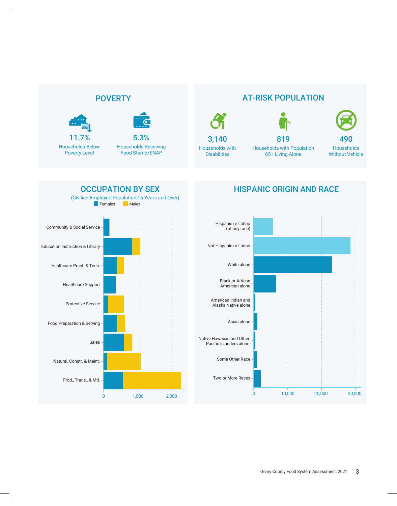# **POVERTY**





Households Below Poverty Level

#### Households Receiving Food Stamp/SNAP 11.7% 5.3%

AT-RISK POPULATION



Households with Population 819

65+ Living Alone

Households 490

Without Vehicle



### HISPANIC ORIGIN AND RACE

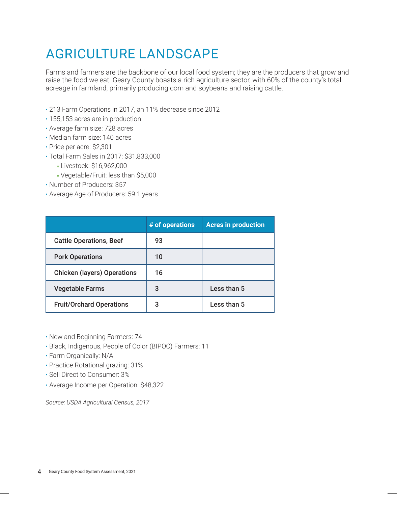# AGRICULTURE LANDSCAPE

Farms and farmers are the backbone of our local food system; they are the producers that grow and raise the food we eat. Geary County boasts a rich agriculture sector, with 60% of the county's total acreage in farmland, primarily producing corn and soybeans and raising cattle.

- 213 Farm Operations in 2017, an 11% decrease since 2012
- 155,153 acres are in production
- Average farm size: 728 acres
- Median farm size: 140 acres
- Price per acre: \$2,301
- Total Farm Sales in 2017: \$31,833,000
- » Livestock: \$16,962,000
	- » Vegetable/Fruit: less than \$5,000
- Number of Producers: 357
- Average Age of Producers: 59.1 years

|                                    | # of operations | <b>Acres in production</b> |
|------------------------------------|-----------------|----------------------------|
| <b>Cattle Operations, Beef</b>     | 93              |                            |
| <b>Pork Operations</b>             | 10              |                            |
| <b>Chicken (layers) Operations</b> | 16              |                            |
| <b>Vegetable Farms</b>             | 3               | Less than 5                |
| <b>Fruit/Orchard Operations</b>    | 3               | Less than 5                |

• New and Beginning Farmers: 74

- Black, Indigenous, People of Color (BIPOC) Farmers: 11
- Farm Organically: N/A
- Practice Rotational grazing: 31%
- Sell Direct to Consumer: 3%
- Average Income per Operation: \$48,322

*Source: USDA Agricultural Census, 2017*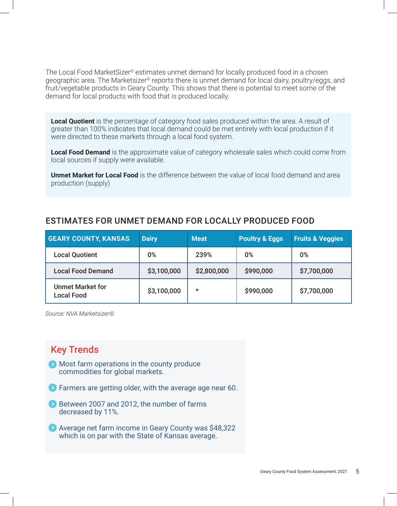The Local Food MarketSizer<sup>®</sup> estimates unmet demand for locally produced food in a chosen geographic area. The Marketsizer<sup>®</sup> reports there is unmet demand for local dairy, poultry/eggs, and fruit/vegetable products in Geary County. This shows that there is potential to meet some of the demand for local products with food that is produced locally.

**Local Quotient** is the percentage of category food sales produced within the area. A result of greater than 100% indicates that local demand could be met entirely with local production if it were directed to these markets through a local food system.

**Local Food Demand** is the approximate value of category wholesale sales which could come from local sources if supply were available.

**Unmet Market for Local Food** is the difference between the value of local food demand and area production (supply)

#### ESTIMATES FOR UNMET DEMAND FOR LOCALLY PRODUCED FOOD

| <b>GEARY COUNTY, KANSAS</b>                  | <b>Dairy</b> | <b>Meat</b> | <b>Poultry &amp; Eggs</b> | <b>Fruits &amp; Veggies</b> |
|----------------------------------------------|--------------|-------------|---------------------------|-----------------------------|
| <b>Local Quotient</b>                        | $0\%$        | 239%        | $0\%$                     | 0%                          |
| <b>Local Food Demand</b>                     | \$3,100,000  | \$2,800,000 | \$990,000                 | \$7,700,000                 |
| <b>Unmet Market for</b><br><b>Local Food</b> | \$3,100,000  | $\star$     | \$990,000                 | \$7,700,000                 |

*Source: NVA Marketsizer©* 

### Key Trends

- **Most farm operations in the county produce** commodities for global markets.
- **EX** Farmers are getting older, with the average age near 60.
- Between 2007 and 2012, the number of farms decreased by 11%.
- Average net farm income in Geary County was \$48,322 which is on par with the State of Kansas average.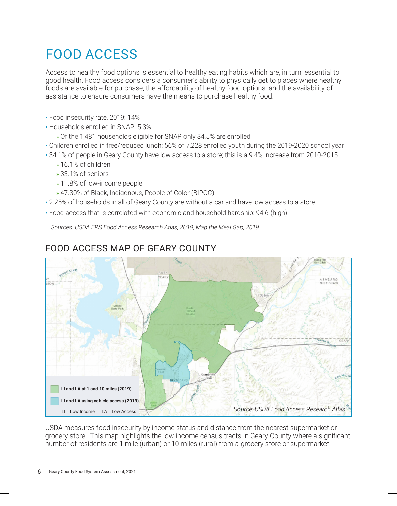# FOOD ACCESS

Access to healthy food options is essential to healthy eating habits which are, in turn, essential to good health. Food access considers a consumer's ability to physically get to places where healthy foods are available for purchase, the affordability of healthy food options; and the availability of assistance to ensure consumers have the means to purchase healthy food.

- Food insecurity rate, 2019: 14%
- Households enrolled in SNAP: 5.3%
	- » Of the 1,481 households eligible for SNAP, only 34.5% are enrolled
- Children enrolled in free/reduced lunch: 56% of 7,228 enrolled youth during the 2019-2020 school year
- 34.1% of people in Geary County have low access to a store; this is a 9.4% increase from 2010-2015
	- » 16.1% of children
	- » 33.1% of seniors
	- » 11.8% of low-income people
	- » 47.30% of Black, Indigenous, People of Color (BIPOC)
- 2.25% of households in all of Geary County are without a car and have low access to a store
- Food access that is correlated with economic and household hardship: 94.6 (high)

*Sources: USDA ERS Food Access Research Atlas, 2019; Map the Meal Gap, 2019*



### FOOD ACCESS MAP OF GEARY COUNTY

USDA measures food insecurity by income status and distance from the nearest supermarket or grocery store. This map highlights the low-income census tracts in Geary County where a significant number of residents are 1 mile (urban) or 10 miles (rural) from a grocery store or supermarket.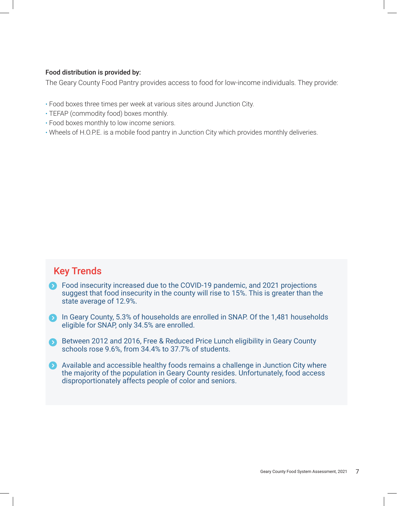#### Food distribution is provided by:

The Geary County Food Pantry provides access to food for low-income individuals. They provide:

- Food boxes three times per week at various sites around Junction City.
- TEFAP (commodity food) boxes monthly.
- Food boxes monthly to low income seniors.
- Wheels of H.O.P.E. is a mobile food pantry in Junction City which provides monthly deliveries.

### Key Trends

- **S** Food insecurity increased due to the COVID-19 pandemic, and 2021 projections suggest that food insecurity in the county will rise to 15%. This is greater than the state average of 12.9%.
- **In Geary County, 5.3% of households are enrolled in SNAP. Of the 1,481 households** eligible for SNAP, only 34.5% are enrolled.
- Between 2012 and 2016, Free & Reduced Price Lunch eligibility in Geary County schools rose 9.6%, from 34.4% to 37.7% of students.
- Available and accessible healthy foods remains a challenge in Junction City where the majority of the population in Geary County resides. Unfortunately, food access disproportionately affects people of color and seniors.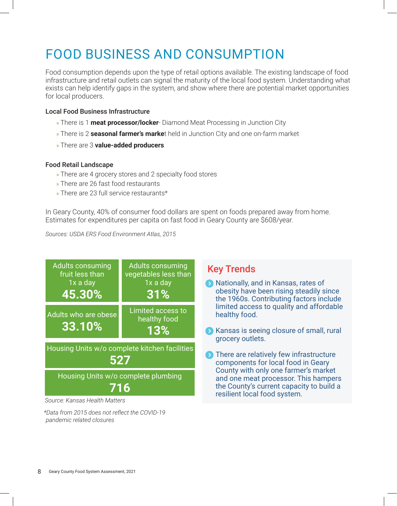# FOOD BUSINESS AND CONSUMPTION

Food consumption depends upon the type of retail options available. The existing landscape of food infrastructure and retail outlets can signal the maturity of the local food system. Understanding what exists can help identify gaps in the system, and show where there are potential market opportunities for local producers.

#### Local Food Business Infrastructure

- » There is 1 **meat processor/locker** Diamond Meat Processing in Junction City
- » There is 2 **seasonal farmer's marke**t held in Junction City and one on-farm market
- » There are 3 **value-added producers**

#### Food Retail Landscape

- » There are 4 grocery stores and 2 specialty food stores
- » There are 26 fast food restaurants
- » There are 23 full service restaurants\*

In Geary County, 40% of consumer food dollars are spent on foods prepared away from home. Estimates for expenditures per capita on fast food in Geary County are \$608/year.

*Sources: USDA ERS Food Environment Atlas, 2015*



*\*Data from 2015 does not reflect the COVID-19 pandemic related closures*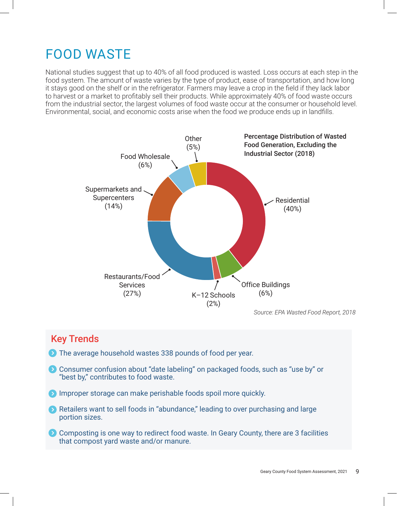# FOOD WASTE

National studies suggest that up to 40% of all food produced is wasted. Loss occurs at each step in the food system. The amount of waste varies by the type of product, ease of transportation, and how long it stays good on the shelf or in the refrigerator. Farmers may leave a crop in the field if they lack labor to harvest or a market to profitably sell their products. While approximately 40% of food waste occurs from the industrial sector, the largest volumes of food waste occur at the consumer or household level. Environmental, social, and economic costs arise when the food we produce ends up in landfills.



# Key Trends

- **D** The average household wastes 338 pounds of food per year.
- **Consumer confusion about "date labeling" on packaged foods, such as "use by" or** "best by," contributes to food waste.
- **IMPROPER STORAGE CAN MAKE PERISHABLE FOODS SPOIL MOTE quickly.**
- **8** Retailers want to sell foods in "abundance," leading to over purchasing and large portion sizes.
- **O** Composting is one way to redirect food waste. In Geary County, there are 3 facilities that compost yard waste and/or manure.